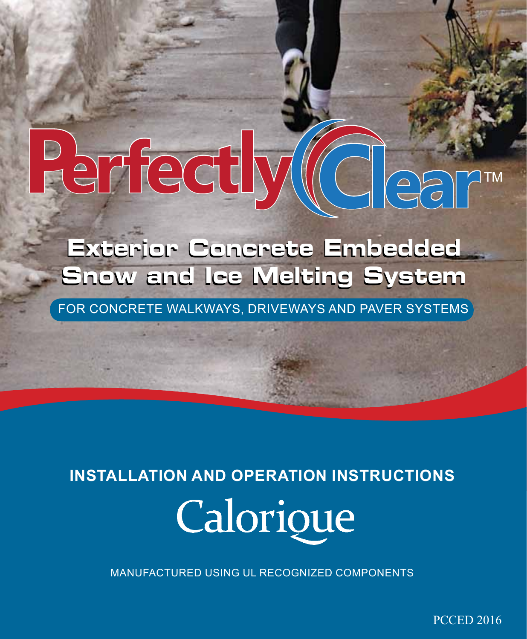# erfectly  $\begin{matrix} 2 \\ -2 \end{matrix}$

**Exterior Concrete Embedded Exterior Concrete Embedded Snow and Ice Melting System**

For Concrete Walkways, Driveways and Paver Systems

# **INSTALLATION and operation INSTRUCTIONS** Calorique

Manufactured using UL recognized components

PCCED 2016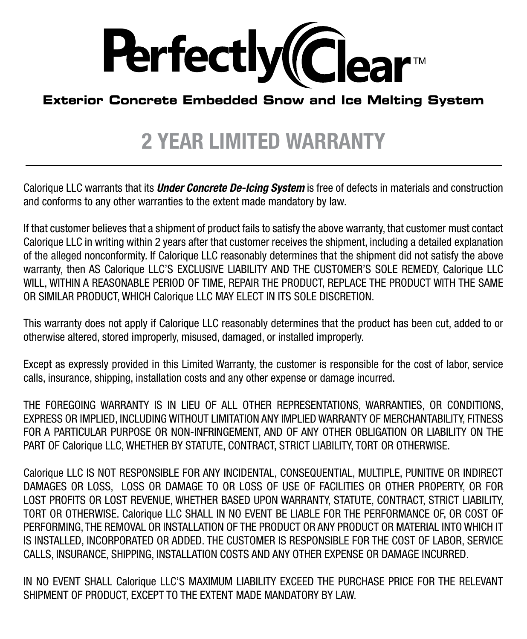

### **Exterior Concrete Embedded Snow and Ice Melting System**

### 2 YEAR limited warranty

Calorique LLC warrants that its *Under Concrete De-Icing System* is free of defects in materials and construction and conforms to any other warranties to the extent made mandatory by law.

If that customer believes that a shipment of product fails to satisfy the above warranty, that customer must contact Calorique LLC in writing within 2 years after that customer receives the shipment, including a detailed explanation of the alleged nonconformity. If Calorique LLC reasonably determines that the shipment did not satisfy the above warranty, then AS Calorique LLC'S EXCLUSIVE LIABILITY AND THE CUSTOMER'S SOLE REMEDY, Calorique LLC WILL, WITHIN A REASONABLE PERIOD OF TIME, REPAIR THE PRODUCT, REPLACE THE PRODUCT WITH THE SAME OR SIMILAR PRODUCT, WHICH Calorique LLC MAY ELECT IN ITS SOLE DISCRETION.

This warranty does not apply if Calorique LLC reasonably determines that the product has been cut, added to or otherwise altered, stored improperly, misused, damaged, or installed improperly.

Except as expressly provided in this Limited Warranty, the customer is responsible for the cost of labor, service calls, insurance, shipping, installation costs and any other expense or damage incurred.

THE FOREGOING WARRANTY IS IN LIEU OF ALL OTHER REPRESENTATIONS, WARRANTIES, OR CONDITIONS, EXPRESS OR IMPLIED, INCLUDING WITHOUT LIMITATION ANY IMPLIED WARRANTY OF MERCHANTABILITY, FITNESS FOR A PARTICULAR PURPOSE OR NON-INFRINGEMENT, AND OF ANY OTHER OBLIGATION OR LIABILITY ON THE PART OF Calorique LLC, WHETHER BY STATUTE, CONTRACT, STRICT LIABILITY, TORT OR OTHERWISE.

Calorique LLC IS NOT RESPONSIBLE FOR ANY INCIDENTAL, CONSEQUENTIAL, MULTIPLE, PUNITIVE OR INDIRECT DAMAGES OR LOSS, LOSS OR DAMAGE TO OR LOSS OF USE OF FACILITIES OR OTHER PROPERTY, OR FOR LOST PROFITS OR LOST REVENUE, WHETHER BASED UPON WARRANTY, STATUTE, CONTRACT, STRICT LIABILITY, TORT OR OTHERWISE. Calorique LLC SHALL IN NO EVENT BE LIABLE FOR THE PERFORMANCE OF, OR COST OF PERFORMING, THE REMOVAL OR INSTALLATION OF THE PRODUCT OR ANY PRODUCT OR MATERIAL INTO WHICH IT IS INSTALLED, INCORPORATED OR ADDED. THE CUSTOMER IS RESPONSIBLE FOR THE COST OF LABOR, SERVICE CALLS, INSURANCE, SHIPPING, INSTALLATION COSTS AND ANY OTHER EXPENSE OR DAMAGE INCURRED.

IN NO EVENT SHALL Calorique LLC'S MAXIMUM LIABILITY EXCEED THE PURCHASE PRICE FOR THE RELEVANT SHIPMENT OF PRODUCT, EXCEPT TO THE EXTENT MADE MANDATORY BY LAW.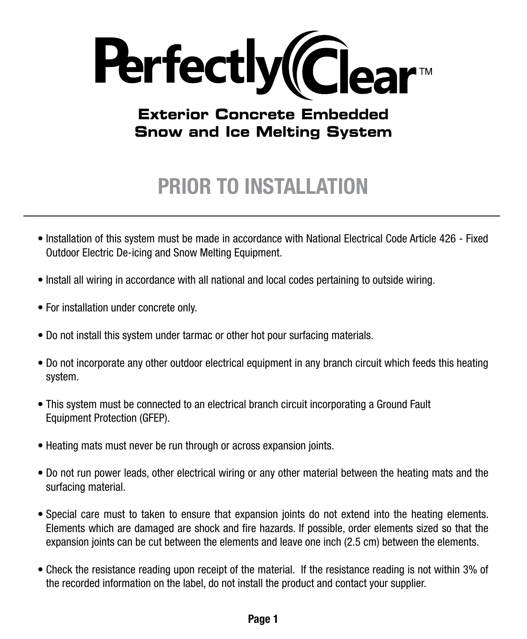

### **Exterior Concrete Embedded Snow and Ice Melting System**

## PRIOR TO Installation

- Installation of this system must be made in accordance with National Electrical Code Article 426 Fixed Outdoor Electric De-icing and Snow Melting Equipment.
- Install all wiring in accordance with all national and local codes pertaining to outside wiring.
- For installation under concrete only.
- Do not install this system under tarmac or other hot pour surfacing materials.
- Do not incorporate any other outdoor electrical equipment in any branch circuit which feeds this heating system.
- This system must be connected to an electrical branch circuit incorporating a Ground Fault Equipment Protection (GFEP).
- Heating mats must never be run through or across expansion joints.
- Do not run power leads, other electrical wiring or any other material between the heating mats and the surfacing material.
- Special care must to taken to ensure that expansion joints do not extend into the heating elements. Elements which are damaged are shock and fire hazards. If possible, order elements sized so that the expansion joints can be cut between the elements and leave one inch (2.5 cm) between the elements.
- Check the resistance reading upon receipt of the material. If the resistance reading is not within 3% of the recorded information on the label, do not install the product and contact your supplier.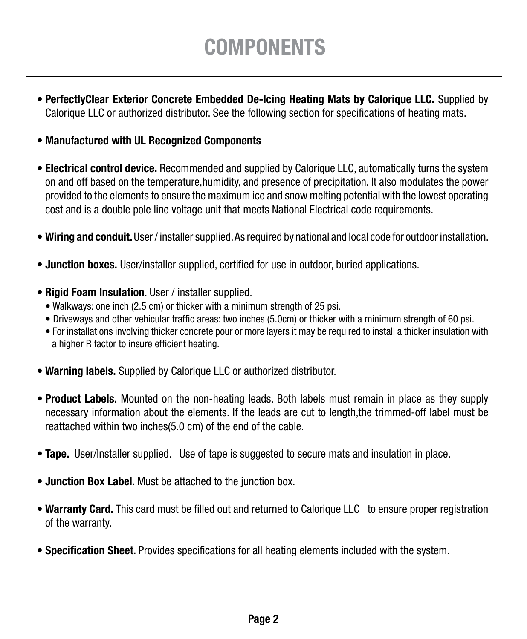## **COMPONENTS**

- PerfectlyClear Exterior Concrete Embedded De-Icing Heating Mats by Calorique LLC. Supplied by Calorique LLC or authorized distributor. See the following section for specifications of heating mats.
- Manufactured with UL Recognized Components
- Electrical control device. Recommended and supplied by Calorique LLC, automatically turns the system on and off based on the temperature,humidity, and presence of precipitation. It also modulates the power provided to the elements to ensure the maximum ice and snow melting potential with the lowest operating cost and is a double pole line voltage unit that meets National Electrical code requirements.
- Wiring and conduit. User / installer supplied. As required by national and local code for outdoor installation.
- Junction boxes. User/installer supplied, certified for use in outdoor, buried applications.
- Rigid Foam Insulation. User / installer supplied.
	- Walkways: one inch (2.5 cm) or thicker with a minimum strength of 25 psi.
	- Driveways and other vehicular traffic areas: two inches (5.0cm) or thicker with a minimum strength of 60 psi.
	- For installations involving thicker concrete pour or more layers it may be required to install a thicker insulation with a higher R factor to insure efficient heating.
- Warning labels. Supplied by Calorique LLC or authorized distributor.
- Product Labels. Mounted on the non-heating leads. Both labels must remain in place as they supply necessary information about the elements. If the leads are cut to length,the trimmed-off label must be reattached within two inches(5.0 cm) of the end of the cable.
- Tape. User/Installer supplied. Use of tape is suggested to secure mats and insulation in place.
- Junction Box Label. Must be attached to the junction box.
- Warranty Card. This card must be filled out and returned to Calorique LLC to ensure proper registration of the warranty.
- Specification Sheet. Provides specifications for all heating elements included with the system.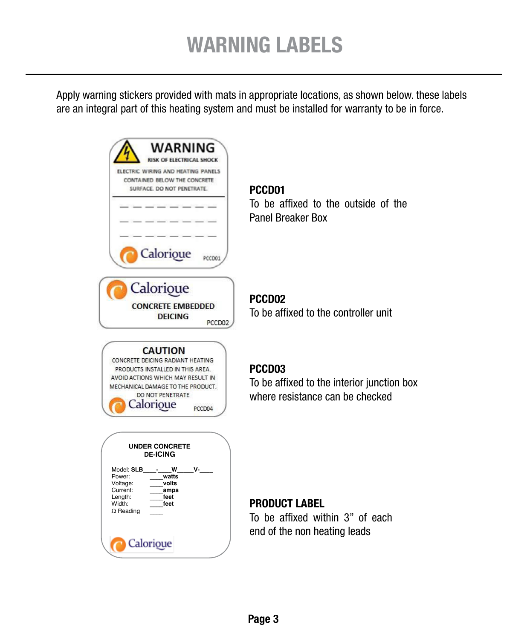Apply warning stickers provided with mats in appropriate locations, as shown below. these labels are an integral part of this heating system and must be installed for warranty to be in force.

| WARNING<br>ISK OF ELECTRICAL SHOCK<br>ELECTRIC WIRING AND HEATING PANELS<br>CONTAINED BELOW THE CONCRETE<br>SURFACE. DO NOT PENETRATE.<br>Calorioue                                                        | PCCD01<br>To be affixed to the outside of the<br><b>Panel Breaker Box</b>                           |
|------------------------------------------------------------------------------------------------------------------------------------------------------------------------------------------------------------|-----------------------------------------------------------------------------------------------------|
| Calorioue<br><b>CONCRETE EMBEDDED</b><br><b>DEICING</b><br>PCCD02                                                                                                                                          | PCCD <sub>02</sub><br>To be affixed to the controller unit                                          |
| <b>CAUTION</b><br>CONCRETE DEICING RADIANT HEATING<br>PRODUCTS INSTALLED IN THIS AREA.<br>AVOID ACTIONS WHICH MAY RESULT IN<br>MECHANICAL DAMAGE TO THE PRODUCT.<br>DO NOT PENETRATE<br>alorioue<br>PCCD04 | PCCD <sub>03</sub><br>To be affixed to the interior junction box<br>where resistance can be checked |
| <b>UNDER CONCRETE</b><br><b>DE-ICING</b><br>Model: SLB<br>w<br>ν-<br>Power:<br>watts<br>Voltage:<br>volts<br>Current:<br>amps<br>Length:<br>feet<br>Width:<br>feet<br>$\Omega$ Reading<br>Calorioue        | <b>PRODUCT LABEL</b><br>To be affixed within 3" of each<br>end of the non heating leads             |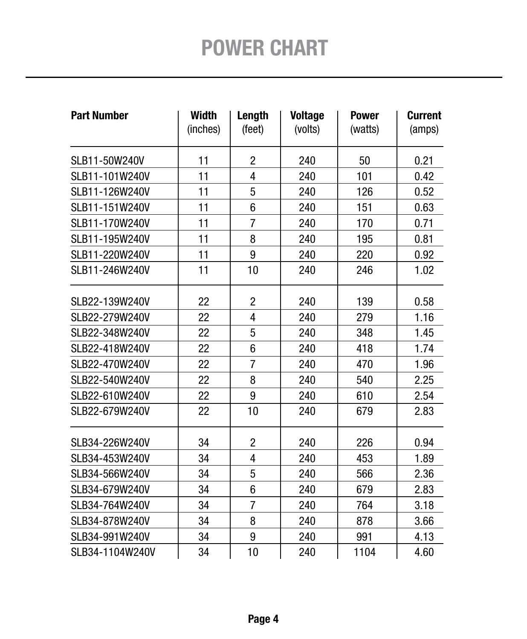| <b>Part Number</b> | <b>Width</b><br>(inches) | Length<br>(feet) | <b>Voltage</b><br>(volts) | <b>Power</b><br>(watts) | <b>Current</b><br>(amps) |  |  |
|--------------------|--------------------------|------------------|---------------------------|-------------------------|--------------------------|--|--|
| SLB11-50W240V      | 11                       | $\overline{c}$   | 240                       | 50                      | 0.21                     |  |  |
| SLB11-101W240V     | 11                       | 4                | 240                       | 101                     | 0.42                     |  |  |
| SLB11-126W240V     | 11                       | 5                | 240                       | 126                     | 0.52                     |  |  |
| SLB11-151W240V     | 11                       | $6\phantom{1}$   | 240                       | 151                     | 0.63                     |  |  |
| SLB11-170W240V     | 11                       | $\overline{7}$   | 240                       | 170                     | 0.71                     |  |  |
| SLB11-195W240V     | 11                       | 8                | 240                       | 195                     | 0.81                     |  |  |
| SLB11-220W240V     | 11                       | 9                | 240                       | 220                     | 0.92                     |  |  |
| SLB11-246W240V     | 11                       | 10               | 240                       | 246                     | 1.02                     |  |  |
| SLB22-139W240V     | 22                       | $\overline{2}$   | 240                       | 139                     | 0.58                     |  |  |
| SLB22-279W240V     | 22                       | 4                | 240                       | 279                     | 1.16                     |  |  |
| SLB22-348W240V     | 22                       | 5                | 240                       | 348                     | 1.45                     |  |  |
| SLB22-418W240V     | 22                       | 6                | 240                       | 418                     | 1.74                     |  |  |
| SLB22-470W240V     | 22                       | $\overline{7}$   | 240                       | 470                     | 1.96                     |  |  |
| SLB22-540W240V     | 22                       | 8                | 240                       | 540                     | 2.25                     |  |  |
| SLB22-610W240V     | 22                       | 9                | 240                       | 610                     | 2.54                     |  |  |
| SLB22-679W240V     | 22                       | 10               | 240                       | 679                     | 2.83                     |  |  |
| SLB34-226W240V     | 34                       | $\overline{2}$   | 240                       | 226                     | 0.94                     |  |  |
| SLB34-453W240V     | 34                       | 4                | 240                       | 453                     | 1.89                     |  |  |
| SLB34-566W240V     | 34                       | 5                | 240                       | 566                     | 2.36                     |  |  |
| SLB34-679W240V     | 34                       | $6\phantom{1}$   | 240                       | 679                     | 2.83                     |  |  |
| SLB34-764W240V     | 34                       | $\overline{7}$   | 240                       | 764                     | 3.18                     |  |  |
| SLB34-878W240V     | 34                       | 8                | 240                       | 878                     | 3.66                     |  |  |
| SLB34-991W240V     | 34                       | 9                | 240                       | 991                     | 4.13                     |  |  |
| SLB34-1104W240V    | 34                       | 10               | 240                       | 1104                    | 4.60                     |  |  |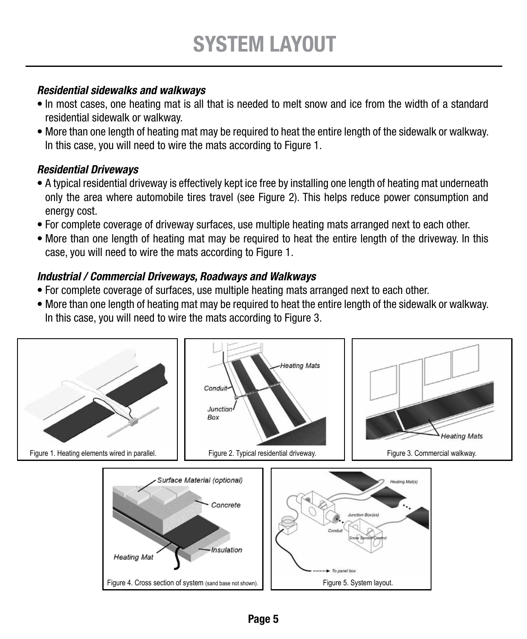#### *Residential sidewalks and walkways*

- In most cases, one heating mat is all that is needed to melt snow and ice from the width of a standard residential sidewalk or walkway.
- More than one length of heating mat may be required to heat the entire length of the sidewalk or walkway. In this case, you will need to wire the mats according to Figure 1.

#### *Residential Driveways*

- A typical residential driveway is effectively kept ice free by installing one length of heating mat underneath only the area where automobile tires travel (see Figure 2). This helps reduce power consumption and energy cost.
- For complete coverage of driveway surfaces, use multiple heating mats arranged next to each other.
- More than one length of heating mat may be required to heat the entire length of the driveway. In this case, you will need to wire the mats according to Figure 1.

#### *Industrial / Commercial Driveways, Roadways and Walkways*

- For complete coverage of surfaces, use multiple heating mats arranged next to each other.
- More than one length of heating mat may be required to heat the entire length of the sidewalk or walkway. In this case, you will need to wire the mats according to Figure 3.

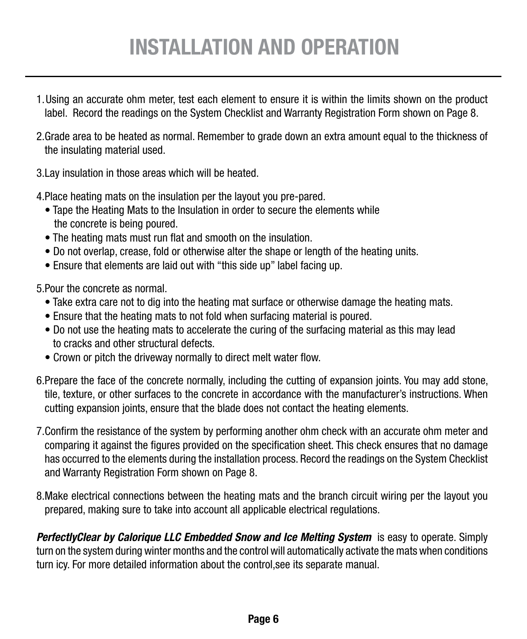# Installation and operation

- 1. Using an accurate ohm meter, test each element to ensure it is within the limits shown on the product label. Record the readings on the System Checklist and Warranty Registration Form shown on Page 8.
- 2.Grade area to be heated as normal. Remember to grade down an extra amount equal to the thickness of the insulating material used.
- 3.Lay insulation in those areas which will be heated.
- 4.Place heating mats on the insulation per the layout you pre-pared.
	- Tape the Heating Mats to the Insulation in order to secure the elements while the concrete is being poured.
	- The heating mats must run flat and smooth on the insulation.
	- Do not overlap, crease, fold or otherwise alter the shape or length of the heating units.
	- Ensure that elements are laid out with "this side up" label facing up.

5.Pour the concrete as normal.

- Take extra care not to dig into the heating mat surface or otherwise damage the heating mats.
- Ensure that the heating mats to not fold when surfacing material is poured.
- Do not use the heating mats to accelerate the curing of the surfacing material as this may lead to cracks and other structural defects.
- Crown or pitch the driveway normally to direct melt water flow.
- 6.Prepare the face of the concrete normally, including the cutting of expansion joints. You may add stone, tile, texture, or other surfaces to the concrete in accordance with the manufacturer's instructions. When cutting expansion joints, ensure that the blade does not contact the heating elements.
- 7.Confirm the resistance of the system by performing another ohm check with an accurate ohm meter and comparing it against the figures provided on the specification sheet. This check ensures that no damage has occurred to the elements during the installation process. Record the readings on the System Checklist and Warranty Registration Form shown on Page 8.
- 8.Make electrical connections between the heating mats and the branch circuit wiring per the layout you prepared, making sure to take into account all applicable electrical regulations.

**PerfectlyClear by Calorique LLC Embedded Snow and Ice Melting System** is easy to operate. Simply turn on the system during winter months and the control will automatically activate the mats when conditions turn icy. For more detailed information about the control,see its separate manual.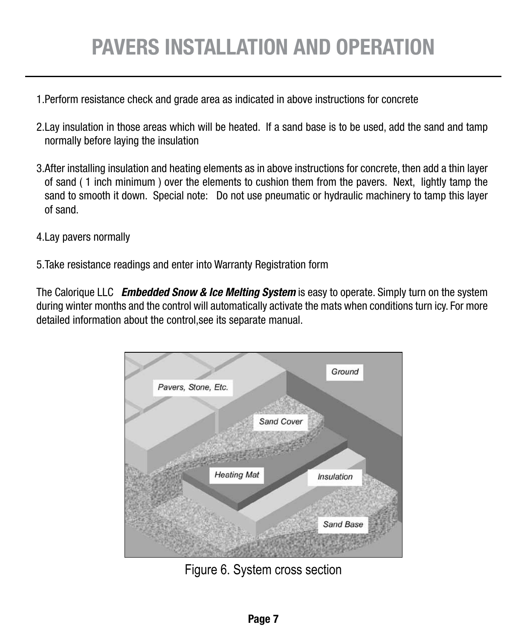# Pavers Installation and operation

- 1.Perform resistance check and grade area as indicated in above instructions for concrete
- 2.Lay insulation in those areas which will be heated. If a sand base is to be used, add the sand and tamp normally before laying the insulation
- 3.After installing insulation and heating elements as in above instructions for concrete, then add a thin layer of sand ( 1 inch minimum ) over the elements to cushion them from the pavers. Next, lightly tamp the sand to smooth it down. Special note: Do not use pneumatic or hydraulic machinery to tamp this layer of sand.
- 4.Lay pavers normally
- 5.Take resistance readings and enter into Warranty Registration form

The Calorique LLC *Embedded Snow & Ice Melting System* is easy to operate. Simply turn on the system during winter months and the control will automatically activate the mats when conditions turn icy. For more detailed information about the control,see its separate manual.



Figure 6. System cross section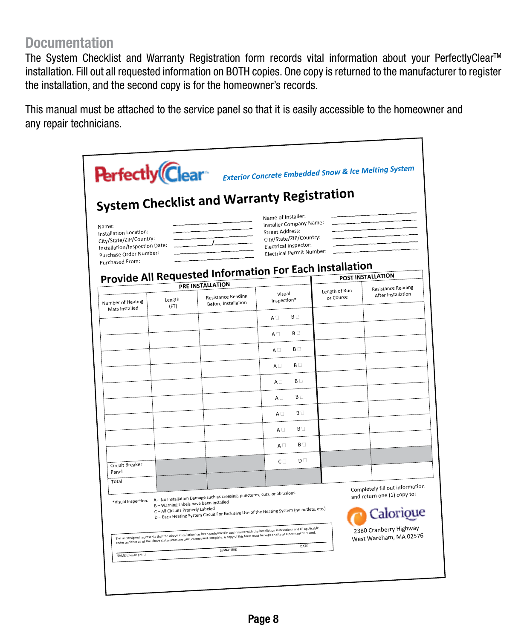#### **Documentation**

The System Checklist and Warranty Registration form records vital information about your PerfectlyClear<sup>™</sup> installation. Fill out all requested information on BOTH copies. One copy is returned to the manufacturer to register the installation, and the second copy is for the homeowner's records.

٦

This manual must be attached to the service panel so that it is easily accessible to the homeowner and any repair technicians.

|                                                   |                                                                             | <b>System Checklist and Warranty Registration</b>                                                                                                                                                                                                                                                                                                                              |                                                    |                            |                                                  |
|---------------------------------------------------|-----------------------------------------------------------------------------|--------------------------------------------------------------------------------------------------------------------------------------------------------------------------------------------------------------------------------------------------------------------------------------------------------------------------------------------------------------------------------|----------------------------------------------------|----------------------------|--------------------------------------------------|
| Name:                                             |                                                                             |                                                                                                                                                                                                                                                                                                                                                                                | Name of Installer:<br>Installer Company Name:      |                            |                                                  |
| Installation Location:<br>City/State/ZIP/Country: |                                                                             |                                                                                                                                                                                                                                                                                                                                                                                | <b>Street Address:</b><br>City/State/ZIP/Country:  |                            |                                                  |
| Installation/Inspection Date:                     |                                                                             |                                                                                                                                                                                                                                                                                                                                                                                | Electrical Inspector:<br>Electrical Permit Number: |                            |                                                  |
| Purchase Order Number:<br>Purchased From:         |                                                                             |                                                                                                                                                                                                                                                                                                                                                                                |                                                    |                            |                                                  |
|                                                   |                                                                             | <b>Provide All Requested Information For Each Installation</b>                                                                                                                                                                                                                                                                                                                 |                                                    |                            |                                                  |
|                                                   |                                                                             | PRE INSTALLATION                                                                                                                                                                                                                                                                                                                                                               |                                                    |                            | <b>POST INSTALLATION</b>                         |
| Number of Heating                                 | Length                                                                      | <b>Resistance Reading</b><br><b>Before Installation</b>                                                                                                                                                                                                                                                                                                                        | Visual<br>Inspection*                              | Length of Run<br>or Course | <b>Resistance Reading</b><br>After Installation  |
| Mats Installed                                    | (FT)                                                                        |                                                                                                                                                                                                                                                                                                                                                                                | B<br>$A \square$                                   |                            |                                                  |
|                                                   |                                                                             |                                                                                                                                                                                                                                                                                                                                                                                | B<br>$A \Box$                                      |                            |                                                  |
|                                                   |                                                                             |                                                                                                                                                                                                                                                                                                                                                                                | B<br>$A \Box$                                      |                            |                                                  |
|                                                   |                                                                             |                                                                                                                                                                                                                                                                                                                                                                                | B <sub>D</sub><br>$A \Box$                         |                            |                                                  |
|                                                   |                                                                             |                                                                                                                                                                                                                                                                                                                                                                                | $B \Box$<br>$A \Box$                               |                            |                                                  |
|                                                   |                                                                             |                                                                                                                                                                                                                                                                                                                                                                                | B<br>$A \Box$                                      |                            |                                                  |
|                                                   |                                                                             |                                                                                                                                                                                                                                                                                                                                                                                | B<br>$A \Box$<br>B                                 |                            |                                                  |
|                                                   |                                                                             |                                                                                                                                                                                                                                                                                                                                                                                | $A \Box$<br>B<br>$A \Box$                          |                            |                                                  |
|                                                   |                                                                             |                                                                                                                                                                                                                                                                                                                                                                                | D <sub>1</sub><br>$C \Box$                         |                            |                                                  |
| Circuit Breaker<br>Panel                          |                                                                             |                                                                                                                                                                                                                                                                                                                                                                                |                                                    |                            |                                                  |
| Total                                             |                                                                             |                                                                                                                                                                                                                                                                                                                                                                                |                                                    |                            | Completely fill out information                  |
|                                                   | B - Warning Labels have been installed<br>C - All Circuits Properly Labeled | *Visual Inspection: A-No Installation Damage such as creasing, punctures, cuts, or abrasions.<br>D - Each Heating System Circuit For Exclusive Use of the Heating System (no outlets, etc.)                                                                                                                                                                                    |                                                    |                            | and return one (1) copy to:<br>Calorioue         |
|                                                   |                                                                             | The undersigned represents that the above installation has been performed in accordance with the installation instructions and all applicable<br>The undersigned response to the above installation has been performed in accorda<br>codes and that all of the Bove statements are true, correct and complete. A copy of this form must be kept on site as a permanent record- |                                                    |                            | 2380 Cranberry Highway<br>West Wareham, MA 02576 |
|                                                   |                                                                             |                                                                                                                                                                                                                                                                                                                                                                                | DATE                                               |                            |                                                  |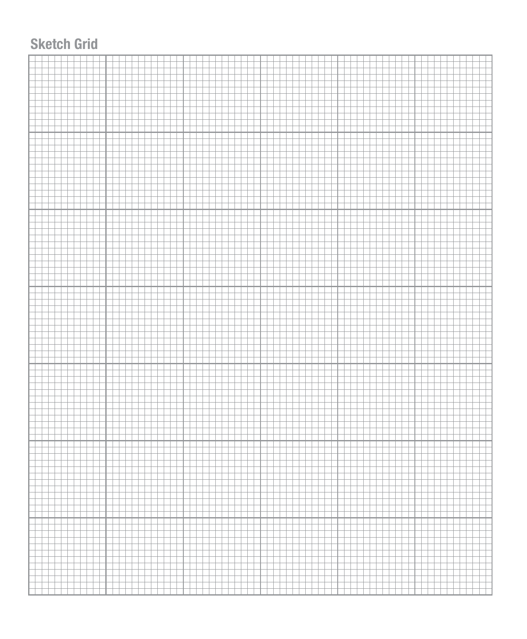### **Sketch Grid**